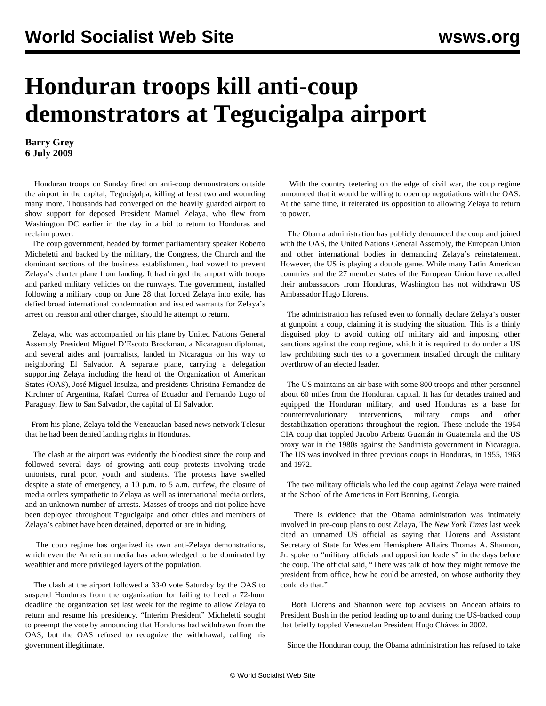## **Honduran troops kill anti-coup demonstrators at Tegucigalpa airport**

**Barry Grey 6 July 2009**

 Honduran troops on Sunday fired on anti-coup demonstrators outside the airport in the capital, Tegucigalpa, killing at least two and wounding many more. Thousands had converged on the heavily guarded airport to show support for deposed President Manuel Zelaya, who flew from Washington DC earlier in the day in a bid to return to Honduras and reclaim power.

 The coup government, headed by former parliamentary speaker Roberto Micheletti and backed by the military, the Congress, the Church and the dominant sections of the business establishment, had vowed to prevent Zelaya's charter plane from landing. It had ringed the airport with troops and parked military vehicles on the runways. The government, installed following a military coup on June 28 that forced Zelaya into exile, has defied broad international condemnation and issued warrants for Zelaya's arrest on treason and other charges, should he attempt to return.

 Zelaya, who was accompanied on his plane by United Nations General Assembly President Miguel D'Escoto Brockman, a Nicaraguan diplomat, and several aides and journalists, landed in Nicaragua on his way to neighboring El Salvador. A separate plane, carrying a delegation supporting Zelaya including the head of the Organization of American States (OAS), José Miguel Insulza, and presidents Christina Fernandez de Kirchner of Argentina, Rafael Correa of Ecuador and Fernando Lugo of Paraguay, flew to San Salvador, the capital of El Salvador.

 From his plane, Zelaya told the Venezuelan-based news network Telesur that he had been denied landing rights in Honduras.

 The clash at the airport was evidently the bloodiest since the coup and followed several days of growing anti-coup protests involving trade unionists, rural poor, youth and students. The protests have swelled despite a state of emergency, a 10 p.m. to 5 a.m. curfew, the closure of media outlets sympathetic to Zelaya as well as international media outlets, and an unknown number of arrests. Masses of troops and riot police have been deployed throughout Tegucigalpa and other cities and members of Zelaya's cabinet have been detained, deported or are in hiding.

 The coup regime has organized its own anti-Zelaya demonstrations, which even the American media has acknowledged to be dominated by wealthier and more privileged layers of the population.

 The clash at the airport followed a 33-0 vote Saturday by the OAS to suspend Honduras from the organization for failing to heed a 72-hour deadline the organization set last week for the regime to allow Zelaya to return and resume his presidency. "Interim President" Micheletti sought to preempt the vote by announcing that Honduras had withdrawn from the OAS, but the OAS refused to recognize the withdrawal, calling his government illegitimate.

 With the country teetering on the edge of civil war, the coup regime announced that it would be willing to open up negotiations with the OAS. At the same time, it reiterated its opposition to allowing Zelaya to return to power.

 The Obama administration has publicly denounced the coup and joined with the OAS, the United Nations General Assembly, the European Union and other international bodies in demanding Zelaya's reinstatement. However, the US is playing a double game. While many Latin American countries and the 27 member states of the European Union have recalled their ambassadors from Honduras, Washington has not withdrawn US Ambassador Hugo Llorens.

 The administration has refused even to formally declare Zelaya's ouster at gunpoint a coup, claiming it is studying the situation. This is a thinly disguised ploy to avoid cutting off military aid and imposing other sanctions against the coup regime, which it is required to do under a US law prohibiting such ties to a government installed through the military overthrow of an elected leader.

 The US maintains an air base with some 800 troops and other personnel about 60 miles from the Honduran capital. It has for decades trained and equipped the Honduran military, and used Honduras as a base for counterrevolutionary interventions, military coups and other destabilization operations throughout the region. These include the 1954 CIA coup that toppled Jacobo Arbenz Guzmán in Guatemala and the US proxy war in the 1980s against the Sandinista government in Nicaragua. The US was involved in three previous coups in Honduras, in 1955, 1963 and 1972.

 The two military officials who led the coup against Zelaya were trained at the School of the Americas in Fort Benning, Georgia.

 There is evidence that the Obama administration was intimately involved in pre-coup plans to oust Zelaya, The *New York Times* last week cited an unnamed US official as saying that Llorens and Assistant Secretary of State for Western Hemisphere Affairs Thomas A. Shannon, Jr. spoke to "military officials and opposition leaders" in the days before the coup. The official said, "There was talk of how they might remove the president from office, how he could be arrested, on whose authority they could do that."

 Both Llorens and Shannon were top advisers on Andean affairs to President Bush in the period leading up to and during the US-backed coup that briefly toppled Venezuelan President Hugo Chávez in 2002.

Since the Honduran coup, the Obama administration has refused to take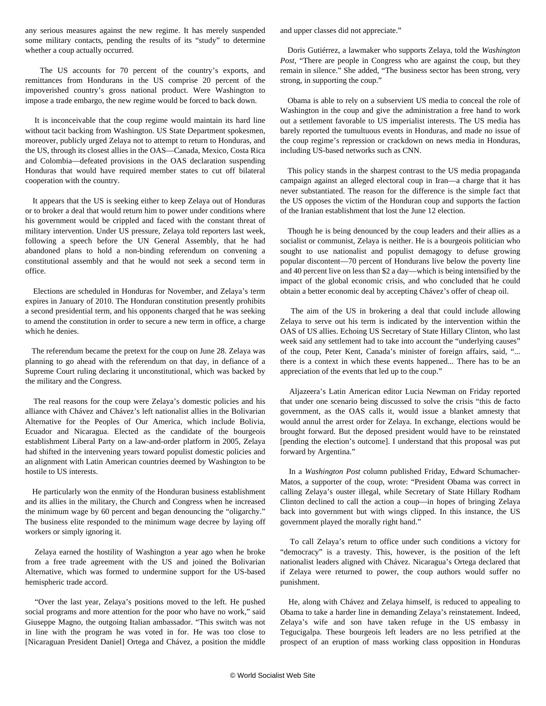any serious measures against the new regime. It has merely suspended some military contacts, pending the results of its "study" to determine whether a coup actually occurred.

 The US accounts for 70 percent of the country's exports, and remittances from Hondurans in the US comprise 20 percent of the impoverished country's gross national product. Were Washington to impose a trade embargo, the new regime would be forced to back down.

 It is inconceivable that the coup regime would maintain its hard line without tacit backing from Washington. US State Department spokesmen, moreover, publicly urged Zelaya not to attempt to return to Honduras, and the US, through its closest allies in the OAS—Canada, Mexico, Costa Rica and Colombia—defeated provisions in the OAS declaration suspending Honduras that would have required member states to cut off bilateral cooperation with the country.

 It appears that the US is seeking either to keep Zelaya out of Honduras or to broker a deal that would return him to power under conditions where his government would be crippled and faced with the constant threat of military intervention. Under US pressure, Zelaya told reporters last week, following a speech before the UN General Assembly, that he had abandoned plans to hold a non-binding referendum on convening a constitutional assembly and that he would not seek a second term in office.

 Elections are scheduled in Honduras for November, and Zelaya's term expires in January of 2010. The Honduran constitution presently prohibits a second presidential term, and his opponents charged that he was seeking to amend the constitution in order to secure a new term in office, a charge which he denies.

 The referendum became the pretext for the coup on June 28. Zelaya was planning to go ahead with the referendum on that day, in defiance of a Supreme Court ruling declaring it unconstitutional, which was backed by the military and the Congress.

 The real reasons for the coup were Zelaya's domestic policies and his alliance with Chávez and Chávez's left nationalist allies in the Bolivarian Alternative for the Peoples of Our America, which include Bolivia, Ecuador and Nicaragua. Elected as the candidate of the bourgeois establishment Liberal Party on a law-and-order platform in 2005, Zelaya had shifted in the intervening years toward populist domestic policies and an alignment with Latin American countries deemed by Washington to be hostile to US interests.

 He particularly won the enmity of the Honduran business establishment and its allies in the military, the Church and Congress when he increased the minimum wage by 60 percent and began denouncing the "oligarchy." The business elite responded to the minimum wage decree by laying off workers or simply ignoring it.

 Zelaya earned the hostility of Washington a year ago when he broke from a free trade agreement with the US and joined the Bolivarian Alternative, which was formed to undermine support for the US-based hemispheric trade accord.

 "Over the last year, Zelaya's positions moved to the left. He pushed social programs and more attention for the poor who have no work," said Giuseppe Magno, the outgoing Italian ambassador. "This switch was not in line with the program he was voted in for. He was too close to [Nicaraguan President Daniel] Ortega and Chávez, a position the middle and upper classes did not appreciate."

 Doris Gutiérrez, a lawmaker who supports Zelaya, told the *Washington Post*, "There are people in Congress who are against the coup, but they remain in silence." She added, "The business sector has been strong, very strong, in supporting the coup."

 Obama is able to rely on a subservient US media to conceal the role of Washington in the coup and give the administration a free hand to work out a settlement favorable to US imperialist interests. The US media has barely reported the tumultuous events in Honduras, and made no issue of the coup regime's repression or crackdown on news media in Honduras, including US-based networks such as CNN.

 This policy stands in the sharpest contrast to the US media propaganda campaign against an alleged electoral coup in Iran—a charge that it has never substantiated. The reason for the difference is the simple fact that the US opposes the victim of the Honduran coup and supports the faction of the Iranian establishment that lost the June 12 election.

 Though he is being denounced by the coup leaders and their allies as a socialist or communist, Zelaya is neither. He is a bourgeois politician who sought to use nationalist and populist demagogy to defuse growing popular discontent—70 percent of Hondurans live below the poverty line and 40 percent live on less than \$2 a day—which is being intensified by the impact of the global economic crisis, and who concluded that he could obtain a better economic deal by accepting Chávez's offer of cheap oil.

 The aim of the US in brokering a deal that could include allowing Zelaya to serve out his term is indicated by the intervention within the OAS of US allies. Echoing US Secretary of State Hillary Clinton, who last week said any settlement had to take into account the "underlying causes" of the coup, Peter Kent, Canada's minister of foreign affairs, said, "... there is a context in which these events happened... There has to be an appreciation of the events that led up to the coup."

 Aljazeera's Latin American editor Lucia Newman on Friday reported that under one scenario being discussed to solve the crisis "this de facto government, as the OAS calls it, would issue a blanket amnesty that would annul the arrest order for Zelaya. In exchange, elections would be brought forward. But the deposed president would have to be reinstated [pending the election's outcome]. I understand that this proposal was put forward by Argentina."

 In a *Washington Post* column published Friday, Edward Schumacher-Matos, a supporter of the coup, wrote: "President Obama was correct in calling Zelaya's ouster illegal, while Secretary of State Hillary Rodham Clinton declined to call the action a coup—in hopes of bringing Zelaya back into government but with wings clipped. In this instance, the US government played the morally right hand."

 To call Zelaya's return to office under such conditions a victory for "democracy" is a travesty. This, however, is the position of the left nationalist leaders aligned with Chávez. Nicaragua's Ortega declared that if Zelaya were returned to power, the coup authors would suffer no punishment.

 He, along with Chávez and Zelaya himself, is reduced to appealing to Obama to take a harder line in demanding Zelaya's reinstatement. Indeed, Zelaya's wife and son have taken refuge in the US embassy in Tegucigalpa. These bourgeois left leaders are no less petrified at the prospect of an eruption of mass working class opposition in Honduras